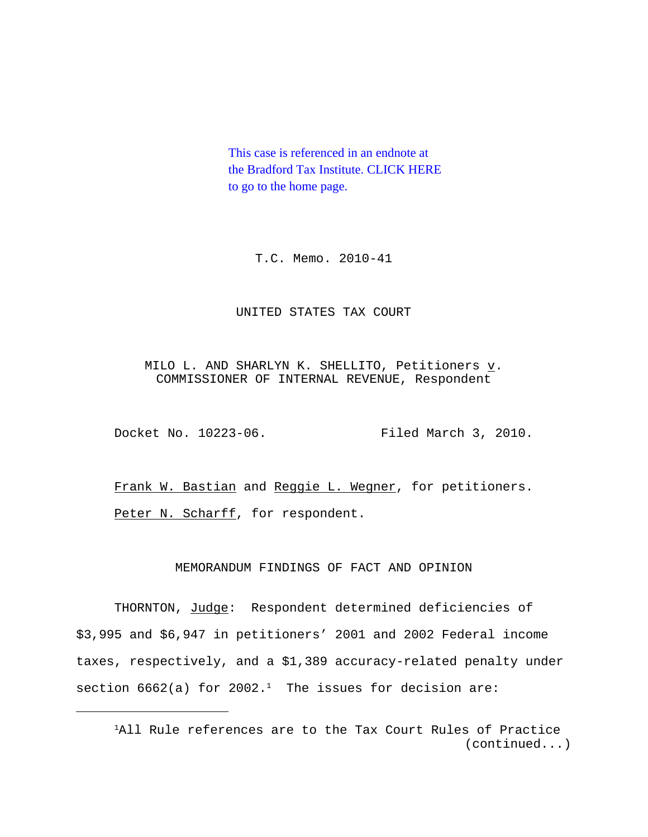This case is referenced in an endnote at [the Bradford Tax Institute. CLICK HERE](http://bradfordtaxinstitute.com/index1.aspx)  to go to the home page.

T.C. Memo. 2010-41

### UNITED STATES TAX COURT

MILO L. AND SHARLYN K. SHELLITO, Petitioners  $\underline{v}$ . COMMISSIONER OF INTERNAL REVENUE, Respondent

Docket No. 10223-06. Filed March 3, 2010.

Frank W. Bastian and Reggie L. Wegner, for petitioners. Peter N. Scharff, for respondent.

## MEMORANDUM FINDINGS OF FACT AND OPINION

THORNTON, Judge: Respondent determined deficiencies of \$3,995 and \$6,947 in petitioners' 2001 and 2002 Federal income taxes, respectively, and a \$1,389 accuracy-related penalty under section 6662(a) for 2002.<sup>1</sup> The issues for decision are:

<sup>&</sup>lt;sup>1</sup>All Rule references are to the Tax Court Rules of Practice (continued...)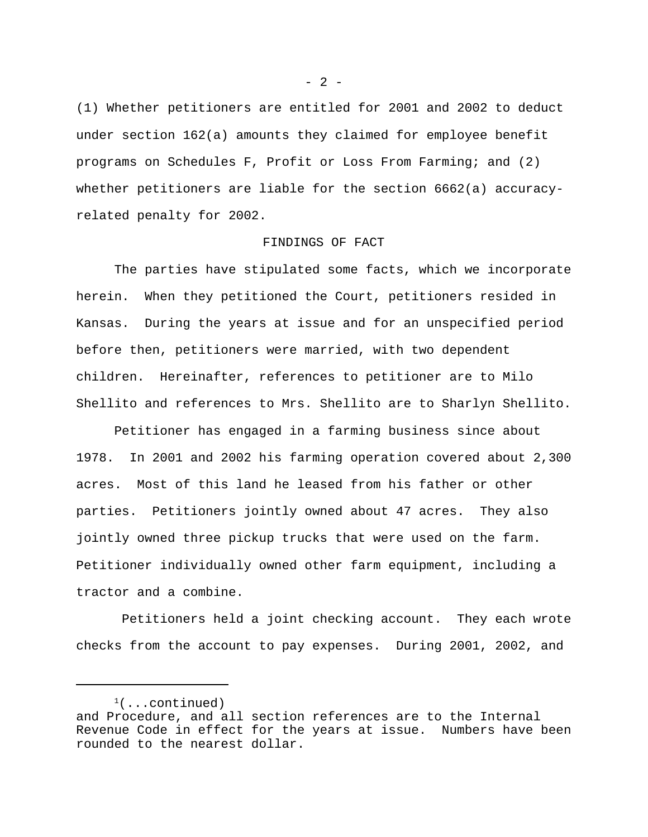(1) Whether petitioners are entitled for 2001 and 2002 to deduct under section 162(a) amounts they claimed for employee benefit programs on Schedules F, Profit or Loss From Farming; and (2) whether petitioners are liable for the section 6662(a) accuracyrelated penalty for 2002.

#### FINDINGS OF FACT

The parties have stipulated some facts, which we incorporate herein. When they petitioned the Court, petitioners resided in Kansas. During the years at issue and for an unspecified period before then, petitioners were married, with two dependent children. Hereinafter, references to petitioner are to Milo Shellito and references to Mrs. Shellito are to Sharlyn Shellito.

Petitioner has engaged in a farming business since about 1978. In 2001 and 2002 his farming operation covered about 2,300 acres. Most of this land he leased from his father or other parties. Petitioners jointly owned about 47 acres. They also jointly owned three pickup trucks that were used on the farm. Petitioner individually owned other farm equipment, including a tractor and a combine.

 Petitioners held a joint checking account. They each wrote checks from the account to pay expenses. During 2001, 2002, and

 $- 2 -$ 

 $(1)$ ...continued) and Procedure, and all section references are to the Internal Revenue Code in effect for the years at issue. Numbers have been rounded to the nearest dollar.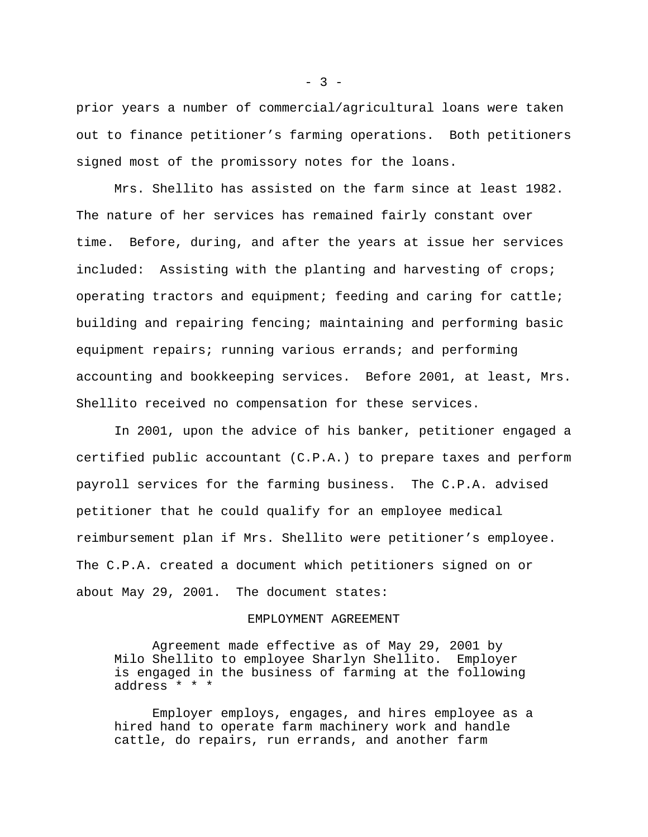prior years a number of commercial/agricultural loans were taken out to finance petitioner's farming operations. Both petitioners signed most of the promissory notes for the loans.

Mrs. Shellito has assisted on the farm since at least 1982. The nature of her services has remained fairly constant over time. Before, during, and after the years at issue her services included: Assisting with the planting and harvesting of crops; operating tractors and equipment; feeding and caring for cattle; building and repairing fencing; maintaining and performing basic equipment repairs; running various errands; and performing accounting and bookkeeping services. Before 2001, at least, Mrs. Shellito received no compensation for these services.

In 2001, upon the advice of his banker, petitioner engaged a certified public accountant (C.P.A.) to prepare taxes and perform payroll services for the farming business. The C.P.A. advised petitioner that he could qualify for an employee medical reimbursement plan if Mrs. Shellito were petitioner's employee. The C.P.A. created a document which petitioners signed on or about May 29, 2001. The document states:

#### EMPLOYMENT AGREEMENT

Agreement made effective as of May 29, 2001 by Milo Shellito to employee Sharlyn Shellito. Employer is engaged in the business of farming at the following address \* \* \*

Employer employs, engages, and hires employee as a hired hand to operate farm machinery work and handle cattle, do repairs, run errands, and another farm

 $- 3 -$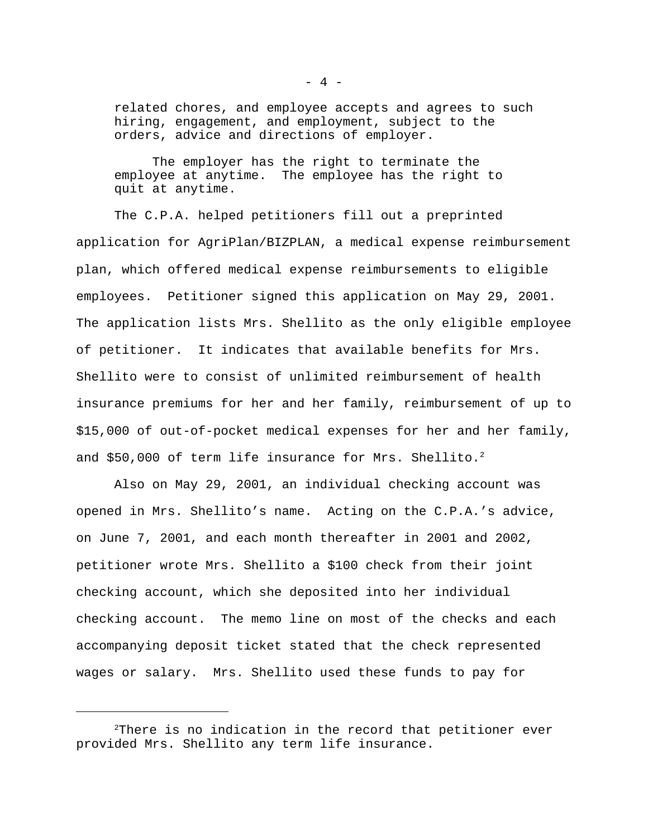related chores, and employee accepts and agrees to such hiring, engagement, and employment, subject to the orders, advice and directions of employer.

The employer has the right to terminate the employee at anytime. The employee has the right to quit at anytime.

The C.P.A. helped petitioners fill out a preprinted application for AgriPlan/BIZPLAN, a medical expense reimbursement plan, which offered medical expense reimbursements to eligible employees. Petitioner signed this application on May 29, 2001. The application lists Mrs. Shellito as the only eligible employee of petitioner. It indicates that available benefits for Mrs. Shellito were to consist of unlimited reimbursement of health insurance premiums for her and her family, reimbursement of up to \$15,000 of out-of-pocket medical expenses for her and her family, and \$50,000 of term life insurance for Mrs. Shellito.<sup>2</sup>

Also on May 29, 2001, an individual checking account was opened in Mrs. Shellito's name. Acting on the C.P.A.'s advice, on June 7, 2001, and each month thereafter in 2001 and 2002, petitioner wrote Mrs. Shellito a \$100 check from their joint checking account, which she deposited into her individual checking account. The memo line on most of the checks and each accompanying deposit ticket stated that the check represented wages or salary. Mrs. Shellito used these funds to pay for

<sup>&</sup>lt;sup>2</sup>There is no indication in the record that petitioner ever provided Mrs. Shellito any term life insurance.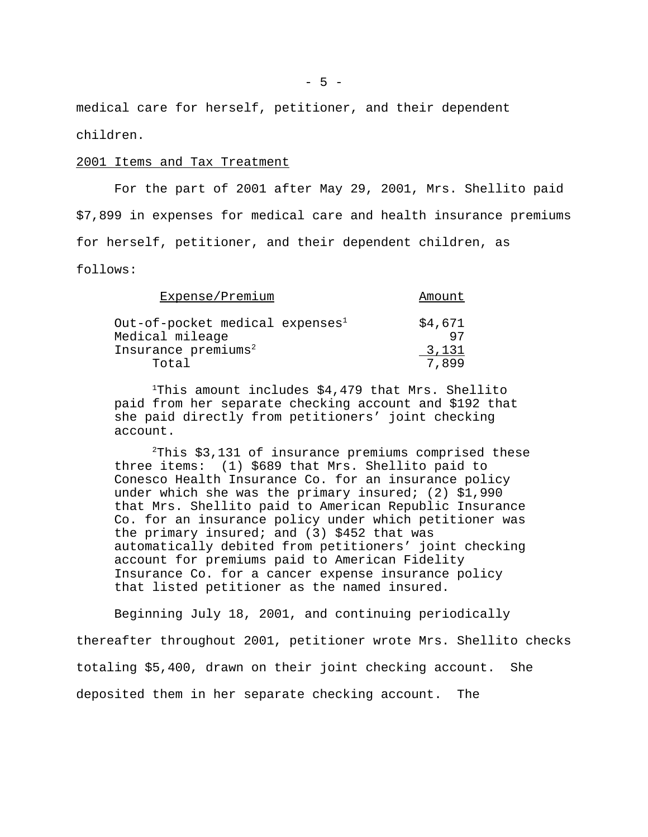medical care for herself, petitioner, and their dependent children.

#### 2001 Items and Tax Treatment

For the part of 2001 after May 29, 2001, Mrs. Shellito paid \$7,899 in expenses for medical care and health insurance premiums for herself, petitioner, and their dependent children, as

follows:

| Expense/Premium                                        | Amount        |
|--------------------------------------------------------|---------------|
| Out-of-pocket medical expenses $^1$<br>Medical mileage | \$4,671<br>97 |
| Insurance premiums <sup>2</sup>                        | 3,131         |
| Total                                                  | 7.899         |

<sup>1</sup>This amount includes \$4,479 that Mrs. Shellito paid from her separate checking account and \$192 that she paid directly from petitioners' joint checking account.

 $2$ This \$3,131 of insurance premiums comprised these three items: (1) \$689 that Mrs. Shellito paid to Conesco Health Insurance Co. for an insurance policy under which she was the primary insured; (2) \$1,990 that Mrs. Shellito paid to American Republic Insurance Co. for an insurance policy under which petitioner was the primary insured; and (3) \$452 that was automatically debited from petitioners' joint checking account for premiums paid to American Fidelity Insurance Co. for a cancer expense insurance policy that listed petitioner as the named insured.

Beginning July 18, 2001, and continuing periodically thereafter throughout 2001, petitioner wrote Mrs. Shellito checks totaling \$5,400, drawn on their joint checking account. She deposited them in her separate checking account. The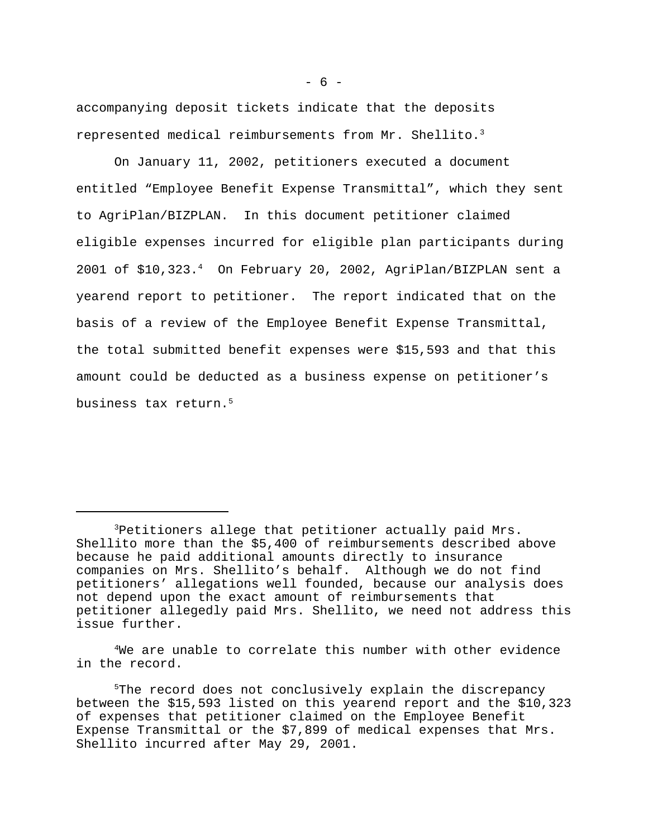accompanying deposit tickets indicate that the deposits represented medical reimbursements from Mr. Shellito.<sup>3</sup>

On January 11, 2002, petitioners executed a document entitled "Employee Benefit Expense Transmittal", which they sent to AgriPlan/BIZPLAN. In this document petitioner claimed eligible expenses incurred for eligible plan participants during 2001 of \$10,323.<sup>4</sup> On February 20, 2002, AgriPlan/BIZPLAN sent a yearend report to petitioner. The report indicated that on the basis of a review of the Employee Benefit Expense Transmittal, the total submitted benefit expenses were \$15,593 and that this amount could be deducted as a business expense on petitioner's business tax return.<sup>5</sup>

<sup>4</sup>We are unable to correlate this number with other evidence in the record.

<sup>3</sup>Petitioners allege that petitioner actually paid Mrs. Shellito more than the \$5,400 of reimbursements described above because he paid additional amounts directly to insurance companies on Mrs. Shellito's behalf. Although we do not find petitioners' allegations well founded, because our analysis does not depend upon the exact amount of reimbursements that petitioner allegedly paid Mrs. Shellito, we need not address this issue further.

<sup>&</sup>lt;sup>5</sup>The record does not conclusively explain the discrepancy between the \$15,593 listed on this yearend report and the \$10,323 of expenses that petitioner claimed on the Employee Benefit Expense Transmittal or the \$7,899 of medical expenses that Mrs. Shellito incurred after May 29, 2001.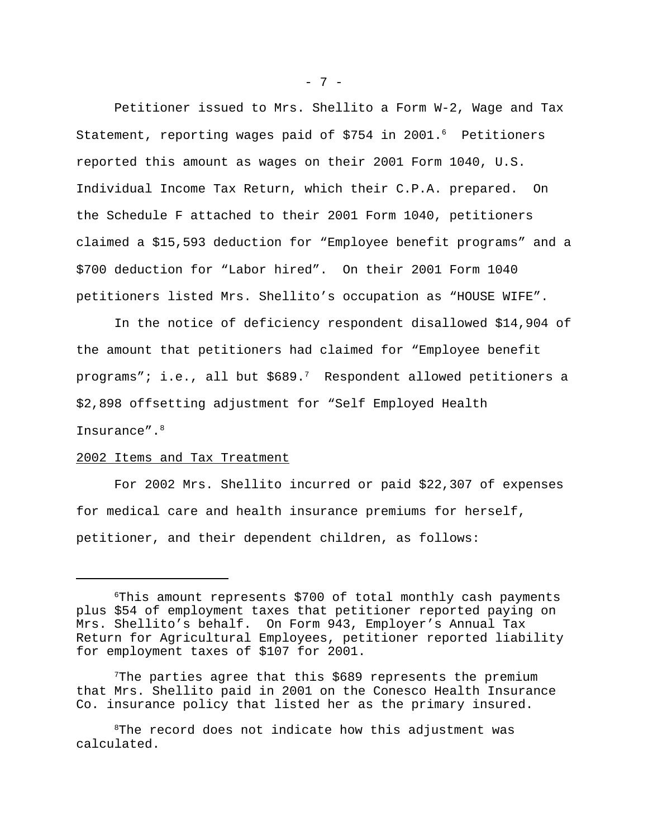Petitioner issued to Mrs. Shellito a Form W-2, Wage and Tax Statement, reporting wages paid of  $$754$  in 2001.<sup>6</sup> Petitioners reported this amount as wages on their 2001 Form 1040, U.S. Individual Income Tax Return, which their C.P.A. prepared. On the Schedule F attached to their 2001 Form 1040, petitioners claimed a \$15,593 deduction for "Employee benefit programs" and a \$700 deduction for "Labor hired". On their 2001 Form 1040 petitioners listed Mrs. Shellito's occupation as "HOUSE WIFE".

In the notice of deficiency respondent disallowed \$14,904 of the amount that petitioners had claimed for "Employee benefit programs"; i.e., all but  $$689.'$  Respondent allowed petitioners a \$2,898 offsetting adjustment for "Self Employed Health Insurance".<sup>8</sup>

#### 2002 Items and Tax Treatment

For 2002 Mrs. Shellito incurred or paid \$22,307 of expenses for medical care and health insurance premiums for herself, petitioner, and their dependent children, as follows:

<sup>6</sup>This amount represents \$700 of total monthly cash payments plus \$54 of employment taxes that petitioner reported paying on Mrs. Shellito's behalf. On Form 943, Employer's Annual Tax Return for Agricultural Employees, petitioner reported liability for employment taxes of \$107 for 2001.

The parties agree that this \$689 represents the premium that Mrs. Shellito paid in 2001 on the Conesco Health Insurance Co. insurance policy that listed her as the primary insured.

<sup>&</sup>lt;sup>8</sup>The record does not indicate how this adjustment was calculated.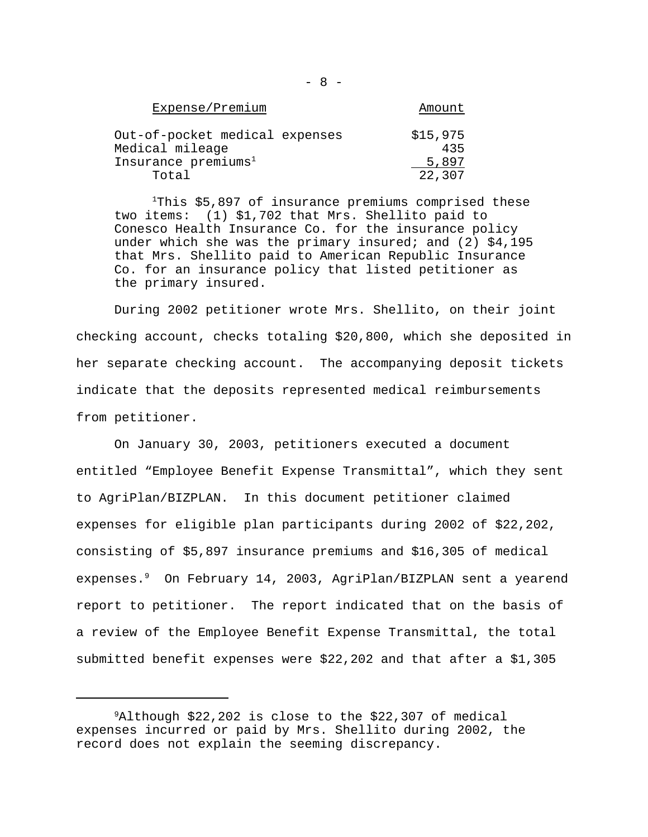| Expense/Premium                                   | Amount          |
|---------------------------------------------------|-----------------|
| Out-of-pocket medical expenses<br>Medical mileage | \$15,975<br>435 |
| Insurance premiums <sup>1</sup>                   | 5,897           |
| Total                                             | 22,307          |

<sup>1</sup>This  $$5,897$  of insurance premiums comprised these two items: (1) \$1,702 that Mrs. Shellito paid to Conesco Health Insurance Co. for the insurance policy under which she was the primary insured; and  $(2)$  \$4,195 that Mrs. Shellito paid to American Republic Insurance Co. for an insurance policy that listed petitioner as the primary insured.

During 2002 petitioner wrote Mrs. Shellito, on their joint checking account, checks totaling \$20,800, which she deposited in her separate checking account. The accompanying deposit tickets indicate that the deposits represented medical reimbursements from petitioner.

On January 30, 2003, petitioners executed a document entitled "Employee Benefit Expense Transmittal", which they sent to AgriPlan/BIZPLAN. In this document petitioner claimed expenses for eligible plan participants during 2002 of \$22,202, consisting of \$5,897 insurance premiums and \$16,305 of medical expenses.<sup>9</sup> On February 14, 2003, AgriPlan/BIZPLAN sent a yearend report to petitioner. The report indicated that on the basis of a review of the Employee Benefit Expense Transmittal, the total submitted benefit expenses were \$22,202 and that after a \$1,305

<sup>9</sup>Although \$22,202 is close to the \$22,307 of medical expenses incurred or paid by Mrs. Shellito during 2002, the record does not explain the seeming discrepancy.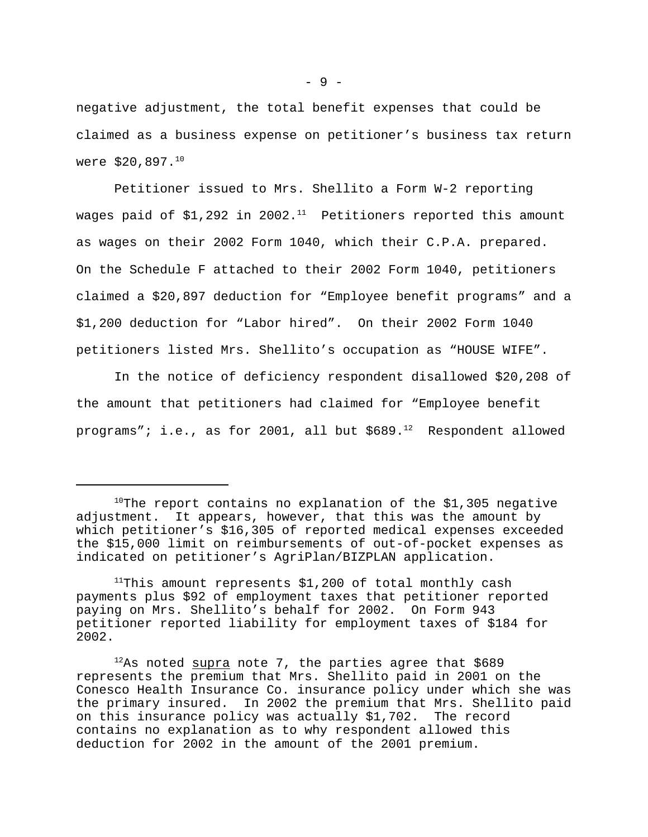negative adjustment, the total benefit expenses that could be claimed as a business expense on petitioner's business tax return were \$20,897.<sup>10</sup>

Petitioner issued to Mrs. Shellito a Form W-2 reporting wages paid of \$1,292 in 2002.<sup>11</sup> Petitioners reported this amount as wages on their 2002 Form 1040, which their C.P.A. prepared. On the Schedule F attached to their 2002 Form 1040, petitioners claimed a \$20,897 deduction for "Employee benefit programs" and a \$1,200 deduction for "Labor hired". On their 2002 Form 1040 petitioners listed Mrs. Shellito's occupation as "HOUSE WIFE".

In the notice of deficiency respondent disallowed \$20,208 of the amount that petitioners had claimed for "Employee benefit programs"; i.e., as for 2001, all but  $$689.^{12}$  Respondent allowed

 $10$ The report contains no explanation of the \$1,305 negative adjustment. It appears, however, that this was the amount by which petitioner's \$16,305 of reported medical expenses exceeded the \$15,000 limit on reimbursements of out-of-pocket expenses as indicated on petitioner's AgriPlan/BIZPLAN application.

<sup>&</sup>lt;sup>11</sup>This amount represents  $$1,200$  of total monthly cash payments plus \$92 of employment taxes that petitioner reported paying on Mrs. Shellito's behalf for 2002. On Form 943 petitioner reported liability for employment taxes of \$184 for 2002.

 $12$ As noted supra note 7, the parties agree that \$689 represents the premium that Mrs. Shellito paid in 2001 on the Conesco Health Insurance Co. insurance policy under which she was the primary insured. In 2002 the premium that Mrs. Shellito paid on this insurance policy was actually \$1,702. The record contains no explanation as to why respondent allowed this deduction for 2002 in the amount of the 2001 premium.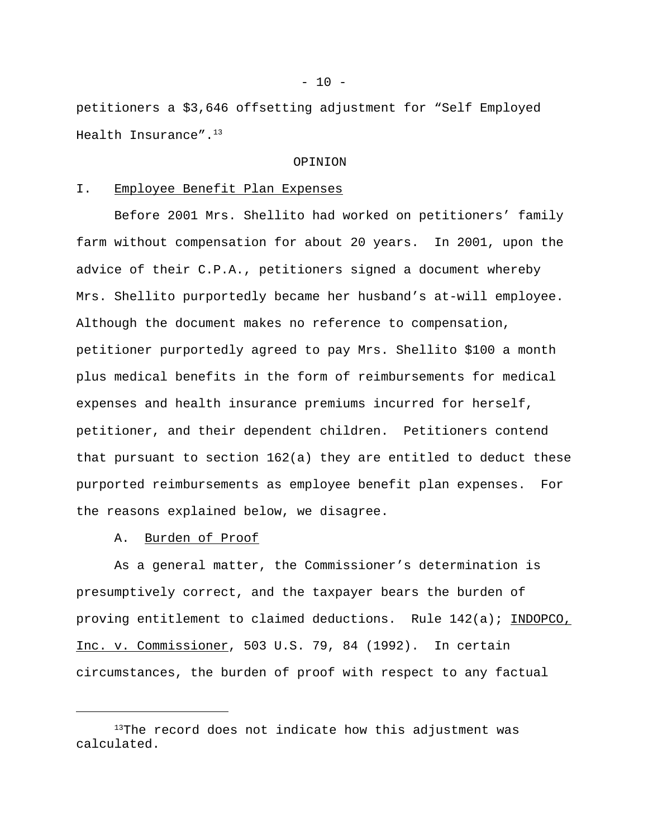petitioners a \$3,646 offsetting adjustment for "Self Employed Health Insurance".<sup>13</sup>

### OPINION

## I. Employee Benefit Plan Expenses

Before 2001 Mrs. Shellito had worked on petitioners' family farm without compensation for about 20 years. In 2001, upon the advice of their C.P.A., petitioners signed a document whereby Mrs. Shellito purportedly became her husband's at-will employee. Although the document makes no reference to compensation, petitioner purportedly agreed to pay Mrs. Shellito \$100 a month plus medical benefits in the form of reimbursements for medical expenses and health insurance premiums incurred for herself, petitioner, and their dependent children. Petitioners contend that pursuant to section 162(a) they are entitled to deduct these purported reimbursements as employee benefit plan expenses. For the reasons explained below, we disagree.

A. Burden of Proof

As a general matter, the Commissioner's determination is presumptively correct, and the taxpayer bears the burden of proving entitlement to claimed deductions. Rule 142(a); INDOPCO, Inc. v. Commissioner, 503 U.S. 79, 84 (1992). In certain circumstances, the burden of proof with respect to any factual

 $13$ The record does not indicate how this adjustment was calculated.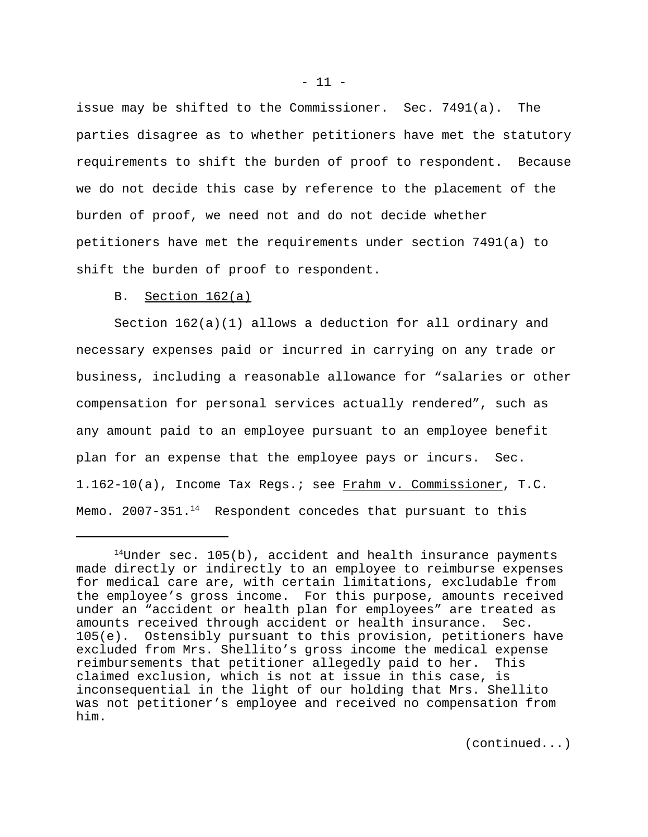issue may be shifted to the Commissioner. Sec. 7491(a). The parties disagree as to whether petitioners have met the statutory requirements to shift the burden of proof to respondent. Because we do not decide this case by reference to the placement of the burden of proof, we need not and do not decide whether petitioners have met the requirements under section 7491(a) to shift the burden of proof to respondent.

# B. Section 162(a)

Section 162(a)(1) allows a deduction for all ordinary and necessary expenses paid or incurred in carrying on any trade or business, including a reasonable allowance for "salaries or other compensation for personal services actually rendered", such as any amount paid to an employee pursuant to an employee benefit plan for an expense that the employee pays or incurs. Sec. 1.162-10(a), Income Tax Regs.; see Frahm v. Commissioner, T.C. Memo.  $2007 - 351$ .<sup>14</sup> Respondent concedes that pursuant to this

(continued...)

 $14$ Under sec. 105(b), accident and health insurance payments made directly or indirectly to an employee to reimburse expenses for medical care are, with certain limitations, excludable from the employee's gross income. For this purpose, amounts received under an "accident or health plan for employees" are treated as amounts received through accident or health insurance. Sec. 105(e). Ostensibly pursuant to this provision, petitioners have excluded from Mrs. Shellito's gross income the medical expense reimbursements that petitioner allegedly paid to her. This claimed exclusion, which is not at issue in this case, is inconsequential in the light of our holding that Mrs. Shellito was not petitioner's employee and received no compensation from him.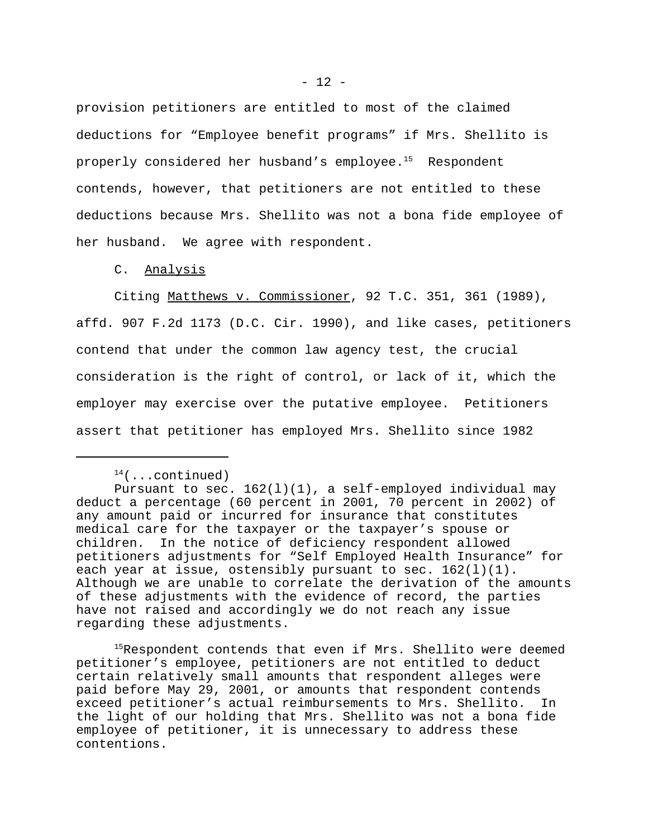provision petitioners are entitled to most of the claimed deductions for "Employee benefit programs" if Mrs. Shellito is properly considered her husband's employee.<sup>15</sup> Respondent contends, however, that petitioners are not entitled to these deductions because Mrs. Shellito was not a bona fide employee of her husband. We agree with respondent.

C. Analysis

Citing Matthews v. Commissioner, 92 T.C. 351, 361 (1989), affd. 907 F.2d 1173 (D.C. Cir. 1990), and like cases, petitioners contend that under the common law agency test, the crucial consideration is the right of control, or lack of it, which the employer may exercise over the putative employee. Petitioners assert that petitioner has employed Mrs. Shellito since 1982

 $14$ (...continued)

Pursuant to sec. 162(l)(1), a self-employed individual may deduct a percentage (60 percent in 2001, 70 percent in 2002) of any amount paid or incurred for insurance that constitutes medical care for the taxpayer or the taxpayer's spouse or children. In the notice of deficiency respondent allowed petitioners adjustments for "Self Employed Health Insurance" for each year at issue, ostensibly pursuant to sec. 162(1)(1). Although we are unable to correlate the derivation of the amounts of these adjustments with the evidence of record, the parties have not raised and accordingly we do not reach any issue regarding these adjustments.

<sup>&</sup>lt;sup>15</sup>Respondent contends that even if Mrs. Shellito were deemed petitioner's employee, petitioners are not entitled to deduct certain relatively small amounts that respondent alleges were paid before May 29, 2001, or amounts that respondent contends exceed petitioner's actual reimbursements to Mrs. Shellito. In the light of our holding that Mrs. Shellito was not a bona fide employee of petitioner, it is unnecessary to address these contentions.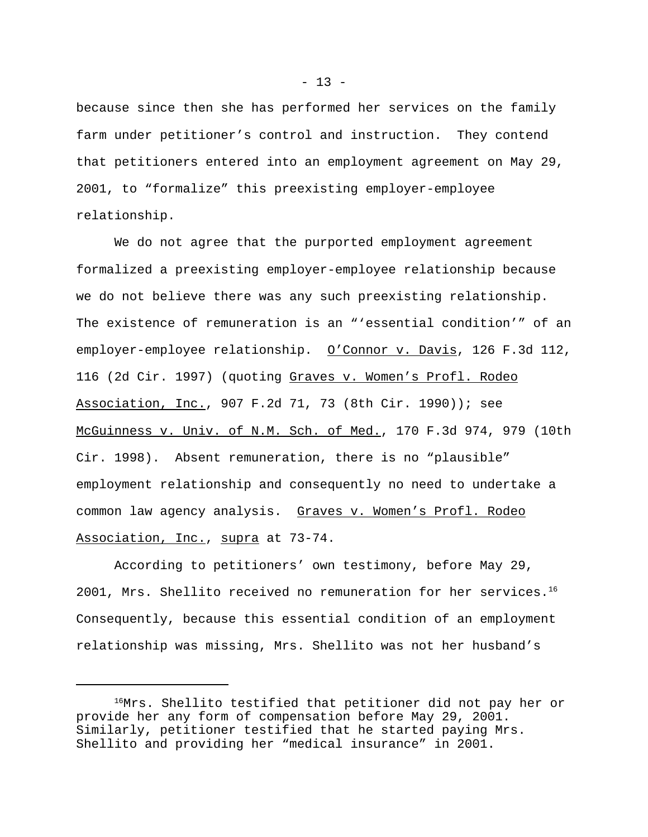because since then she has performed her services on the family farm under petitioner's control and instruction. They contend that petitioners entered into an employment agreement on May 29, 2001, to "formalize" this preexisting employer-employee relationship.

We do not agree that the purported employment agreement formalized a preexisting employer-employee relationship because we do not believe there was any such preexisting relationship. The existence of remuneration is an "'essential condition'" of an employer-employee relationship. O'Connor v. Davis, 126 F.3d 112, 116 (2d Cir. 1997) (quoting Graves v. Women's Profl. Rodeo Association, Inc., 907 F.2d 71, 73 (8th Cir. 1990)); see McGuinness v. Univ. of N.M. Sch. of Med., 170 F.3d 974, 979 (10th Cir. 1998). Absent remuneration, there is no "plausible" employment relationship and consequently no need to undertake a common law agency analysis. Graves v. Women's Profl. Rodeo Association, Inc., supra at 73-74.

According to petitioners' own testimony, before May 29, 2001, Mrs. Shellito received no remuneration for her services.<sup>16</sup> Consequently, because this essential condition of an employment relationship was missing, Mrs. Shellito was not her husband's

<sup>&</sup>lt;sup>16</sup>Mrs. Shellito testified that petitioner did not pay her or provide her any form of compensation before May 29, 2001. Similarly, petitioner testified that he started paying Mrs. Shellito and providing her "medical insurance" in 2001.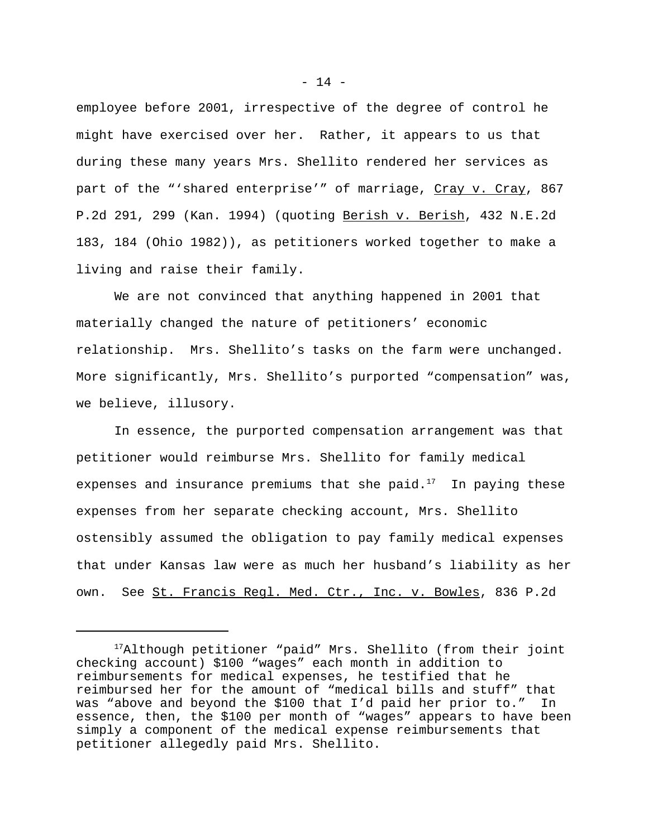employee before 2001, irrespective of the degree of control he might have exercised over her. Rather, it appears to us that during these many years Mrs. Shellito rendered her services as part of the "'shared enterprise'" of marriage, Cray v. Cray, 867 P.2d 291, 299 (Kan. 1994) (quoting Berish v. Berish, 432 N.E.2d 183, 184 (Ohio 1982)), as petitioners worked together to make a living and raise their family.

We are not convinced that anything happened in 2001 that materially changed the nature of petitioners' economic relationship. Mrs. Shellito's tasks on the farm were unchanged. More significantly, Mrs. Shellito's purported "compensation" was, we believe, illusory.

In essence, the purported compensation arrangement was that petitioner would reimburse Mrs. Shellito for family medical expenses and insurance premiums that she paid. $17$  In paying these expenses from her separate checking account, Mrs. Shellito ostensibly assumed the obligation to pay family medical expenses that under Kansas law were as much her husband's liability as her own. See St. Francis Regl. Med. Ctr., Inc. v. Bowles, 836 P.2d

 $- 14 -$ 

<sup>&</sup>lt;sup>17</sup>Although petitioner "paid" Mrs. Shellito (from their joint checking account) \$100 "wages" each month in addition to reimbursements for medical expenses, he testified that he reimbursed her for the amount of "medical bills and stuff" that was "above and beyond the \$100 that I'd paid her prior to." In essence, then, the \$100 per month of "wages" appears to have been simply a component of the medical expense reimbursements that petitioner allegedly paid Mrs. Shellito.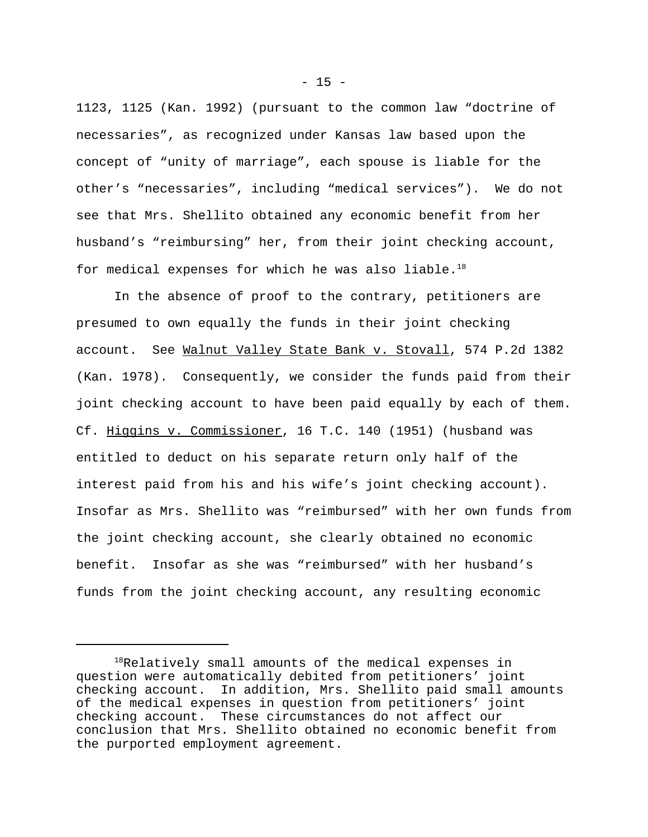1123, 1125 (Kan. 1992) (pursuant to the common law "doctrine of necessaries", as recognized under Kansas law based upon the concept of "unity of marriage", each spouse is liable for the other's "necessaries", including "medical services"). We do not see that Mrs. Shellito obtained any economic benefit from her husband's "reimbursing" her, from their joint checking account, for medical expenses for which he was also liable. $18$ 

In the absence of proof to the contrary, petitioners are presumed to own equally the funds in their joint checking account. See Walnut Valley State Bank v. Stovall, 574 P.2d 1382 (Kan. 1978). Consequently, we consider the funds paid from their joint checking account to have been paid equally by each of them. Cf. Higgins v. Commissioner, 16 T.C. 140 (1951) (husband was entitled to deduct on his separate return only half of the interest paid from his and his wife's joint checking account). Insofar as Mrs. Shellito was "reimbursed" with her own funds from the joint checking account, she clearly obtained no economic benefit. Insofar as she was "reimbursed" with her husband's funds from the joint checking account, any resulting economic

 $- 15 -$ 

 $18$ Relatively small amounts of the medical expenses in question were automatically debited from petitioners' joint checking account. In addition, Mrs. Shellito paid small amounts of the medical expenses in question from petitioners' joint checking account. These circumstances do not affect our conclusion that Mrs. Shellito obtained no economic benefit from the purported employment agreement.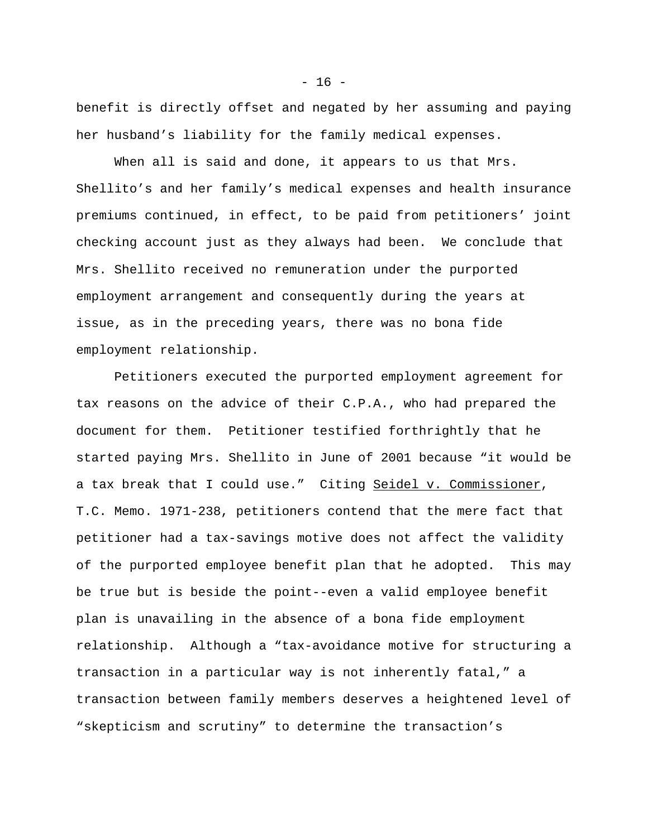benefit is directly offset and negated by her assuming and paying her husband's liability for the family medical expenses.

When all is said and done, it appears to us that Mrs. Shellito's and her family's medical expenses and health insurance premiums continued, in effect, to be paid from petitioners' joint checking account just as they always had been. We conclude that Mrs. Shellito received no remuneration under the purported employment arrangement and consequently during the years at issue, as in the preceding years, there was no bona fide employment relationship.

Petitioners executed the purported employment agreement for tax reasons on the advice of their C.P.A., who had prepared the document for them. Petitioner testified forthrightly that he started paying Mrs. Shellito in June of 2001 because "it would be a tax break that I could use." Citing Seidel v. Commissioner, T.C. Memo. 1971-238, petitioners contend that the mere fact that petitioner had a tax-savings motive does not affect the validity of the purported employee benefit plan that he adopted. This may be true but is beside the point--even a valid employee benefit plan is unavailing in the absence of a bona fide employment relationship. Although a "tax-avoidance motive for structuring a transaction in a particular way is not inherently fatal," a transaction between family members deserves a heightened level of "skepticism and scrutiny" to determine the transaction's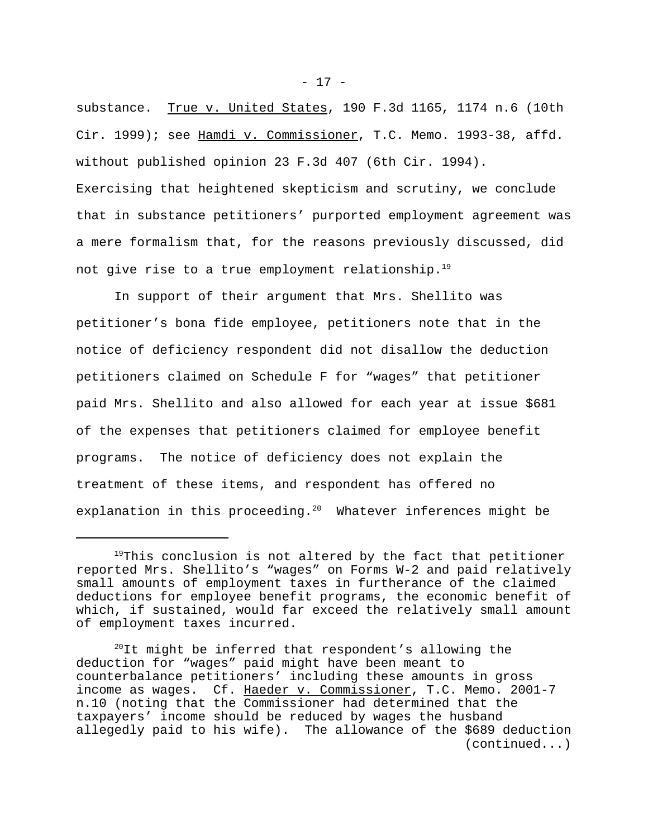substance. True v. United States, 190 F.3d 1165, 1174 n.6 (10th Cir. 1999); see Hamdi v. Commissioner, T.C. Memo. 1993-38, affd. without published opinion 23 F.3d 407 (6th Cir. 1994). Exercising that heightened skepticism and scrutiny, we conclude that in substance petitioners' purported employment agreement was a mere formalism that, for the reasons previously discussed, did not give rise to a true employment relationship.<sup>19</sup>

In support of their argument that Mrs. Shellito was petitioner's bona fide employee, petitioners note that in the notice of deficiency respondent did not disallow the deduction petitioners claimed on Schedule F for "wages" that petitioner paid Mrs. Shellito and also allowed for each year at issue \$681 of the expenses that petitioners claimed for employee benefit programs. The notice of deficiency does not explain the treatment of these items, and respondent has offered no explanation in this proceeding.<sup>20</sup> Whatever inferences might be

 $19$ This conclusion is not altered by the fact that petitioner reported Mrs. Shellito's "wages" on Forms W-2 and paid relatively small amounts of employment taxes in furtherance of the claimed deductions for employee benefit programs, the economic benefit of which, if sustained, would far exceed the relatively small amount of employment taxes incurred.

 $^{20}$ It might be inferred that respondent's allowing the deduction for "wages" paid might have been meant to counterbalance petitioners' including these amounts in gross income as wages. Cf. Haeder v. Commissioner, T.C. Memo. 2001-7 n.10 (noting that the Commissioner had determined that the taxpayers' income should be reduced by wages the husband allegedly paid to his wife). The allowance of the \$689 deduction (continued...)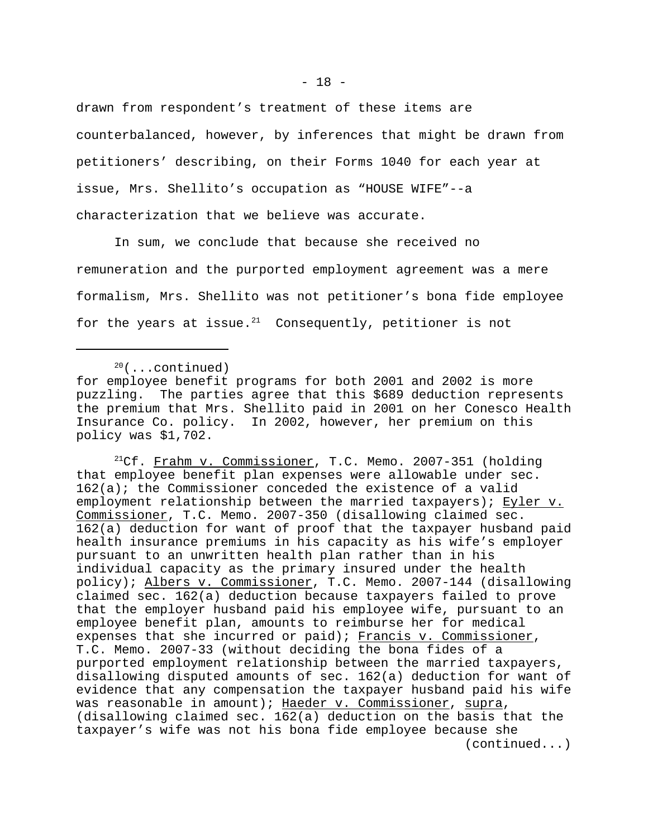drawn from respondent's treatment of these items are counterbalanced, however, by inferences that might be drawn from petitioners' describing, on their Forms 1040 for each year at issue, Mrs. Shellito's occupation as "HOUSE WIFE"--a characterization that we believe was accurate.

In sum, we conclude that because she received no remuneration and the purported employment agreement was a mere formalism, Mrs. Shellito was not petitioner's bona fide employee for the years at issue. $21$  Consequently, petitioner is not

<sup>21</sup>Cf. Frahm v. Commissioner, T.C. Memo. 2007-351 (holding that employee benefit plan expenses were allowable under sec. 162(a); the Commissioner conceded the existence of a valid employment relationship between the married taxpayers); Eyler v. Commissioner, T.C. Memo. 2007-350 (disallowing claimed sec. 162(a) deduction for want of proof that the taxpayer husband paid health insurance premiums in his capacity as his wife's employer pursuant to an unwritten health plan rather than in his individual capacity as the primary insured under the health policy); Albers v. Commissioner, T.C. Memo. 2007-144 (disallowing claimed sec. 162(a) deduction because taxpayers failed to prove that the employer husband paid his employee wife, pursuant to an employee benefit plan, amounts to reimburse her for medical expenses that she incurred or paid); Francis v. Commissioner, T.C. Memo. 2007-33 (without deciding the bona fides of a purported employment relationship between the married taxpayers, disallowing disputed amounts of sec. 162(a) deduction for want of evidence that any compensation the taxpayer husband paid his wife was reasonable in amount); Haeder v. Commissioner, supra, (disallowing claimed sec. 162(a) deduction on the basis that the taxpayer's wife was not his bona fide employee because she (continued...)

 $20$ (...continued)

for employee benefit programs for both 2001 and 2002 is more puzzling. The parties agree that this \$689 deduction represents the premium that Mrs. Shellito paid in 2001 on her Conesco Health Insurance Co. policy. In 2002, however, her premium on this policy was \$1,702.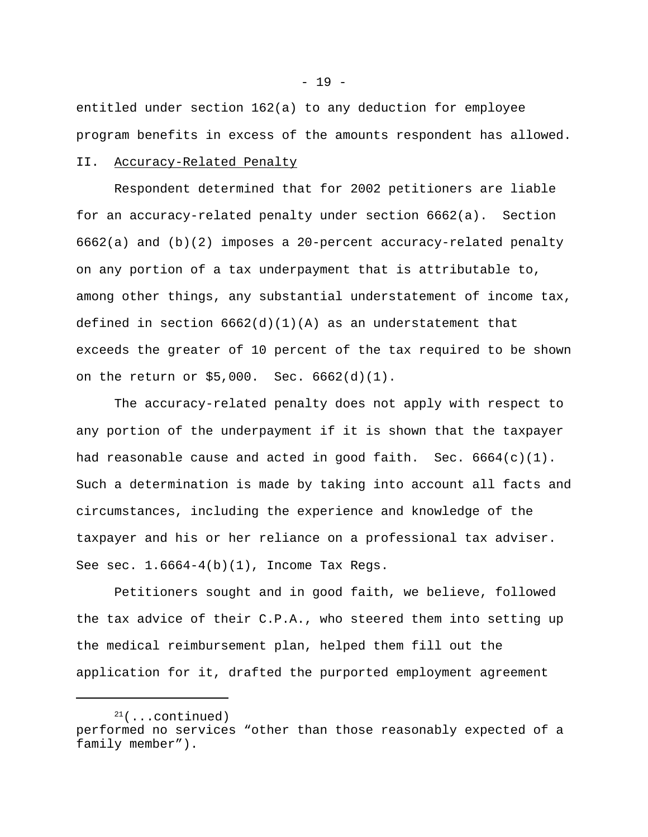entitled under section 162(a) to any deduction for employee program benefits in excess of the amounts respondent has allowed.

### II. Accuracy-Related Penalty

Respondent determined that for 2002 petitioners are liable for an accuracy-related penalty under section 6662(a). Section 6662(a) and (b)(2) imposes a 20-percent accuracy-related penalty on any portion of a tax underpayment that is attributable to, among other things, any substantial understatement of income tax, defined in section  $662(d)(1)(A)$  as an understatement that exceeds the greater of 10 percent of the tax required to be shown on the return or \$5,000. Sec. 6662(d)(1).

The accuracy-related penalty does not apply with respect to any portion of the underpayment if it is shown that the taxpayer had reasonable cause and acted in good faith. Sec.  $6664(c)(1)$ . Such a determination is made by taking into account all facts and circumstances, including the experience and knowledge of the taxpayer and his or her reliance on a professional tax adviser. See sec.  $1.6664-4(b)(1)$ , Income Tax Regs.

Petitioners sought and in good faith, we believe, followed the tax advice of their C.P.A., who steered them into setting up the medical reimbursement plan, helped them fill out the application for it, drafted the purported employment agreement

 $21$ (...continued) performed no services "other than those reasonably expected of a family member").